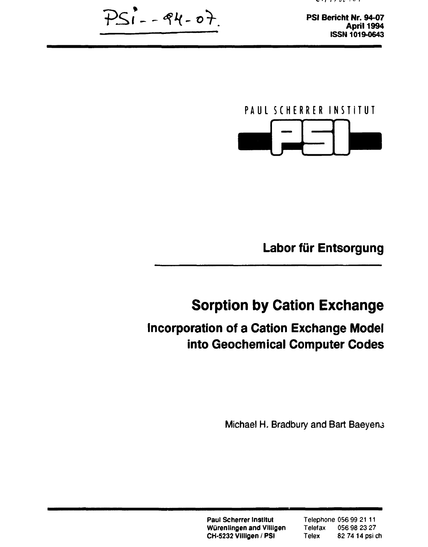

 $S_{1}$  - -  $94 - 07$ 

**PSI Bericht Nr. 94-07 April 1994 ISSN 1019-0643** 



**Labor für Entsorgung** 

# **Sorption by Cation Exchange**

# **Incorporation of a Cation Exchange Model into Geochemical Computer Codes**

**Michael H. Bradbury and Bart Baeyens** 

Paul Scherrer Institut Telephone 056 99 21 11<br>Würenlingen and Villigen Telefax 056 98 23 27 Würenlingen and Villigen CH-5232 Villigen / PSI Telex 82 74 14 psi ch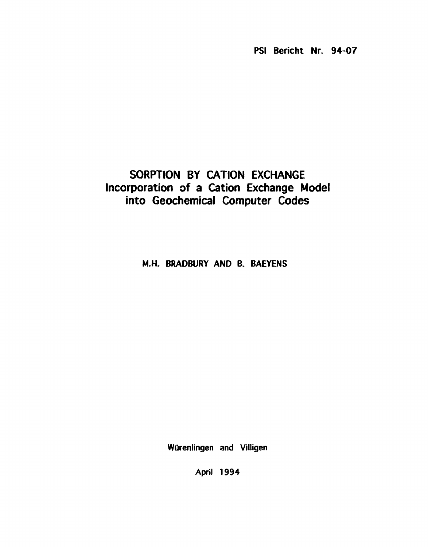**PSI Bericht Nr. 94-07** 

## **SORPTION BY CATION EXCHANGE Incorporation of a Cation Exchange Model into Geochemical Computer Codes**

**M.H. BRADBURY AND B. BAEYENS** 

**Würenlingen and Villigen** 

**April 1994**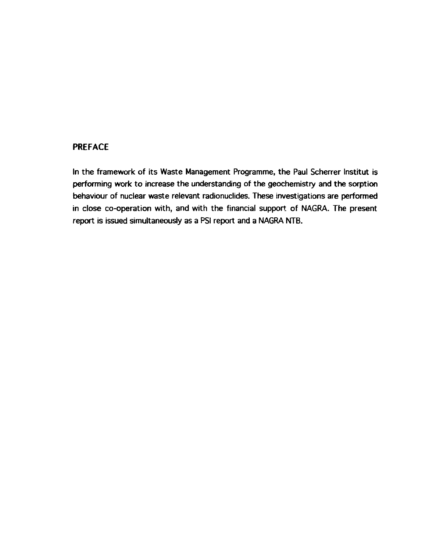#### **PREFACE**

In the framework of its Waste Management Programme, the Paul Scherrer Institut is performing work to increase the understanding of the geochemistry and the sorption behaviour of nuclear waste relevant radionuclides. These investigations are performed in close co-operation with, and with the financial support of NAGRA. The present report is issued simultaneously as a PSI report and a NAGRA NTB.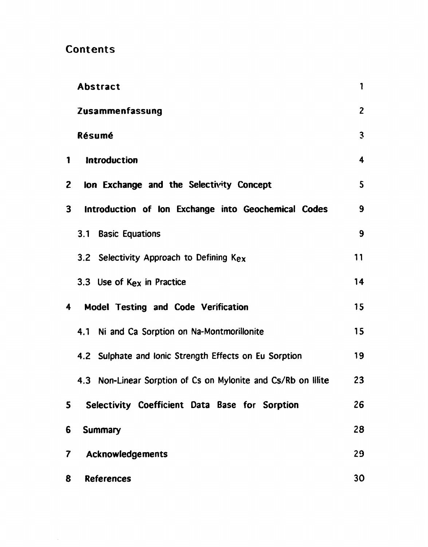## **Contents**

 $\hat{\mathcal{A}}$ 

|              | <b>Abstract</b>                                               | 1              |
|--------------|---------------------------------------------------------------|----------------|
|              | Zusammenfassung                                               | $\overline{2}$ |
|              | Résumé                                                        | $\mathbf{3}$   |
| 1            | <b>Introduction</b>                                           | 4              |
| $\mathbf{z}$ | lon Exchange and the Selectivity Concept                      | 5              |
| $\mathbf{3}$ | Introduction of Ion Exchange into Geochemical Codes           | 9              |
|              | 3.1 Basic Equations                                           | 9              |
|              | 3.2 Selectivity Approach to Defining $K_{ex}$                 | 11             |
|              | 3.3 Use of $K_{ex}$ in Practice                               | 14             |
| 4            | Model Testing and Code Verification                           | 15             |
|              | 4.1 Ni and Ca Sorption on Na-Montmorillonite                  | 15             |
|              | 4.2 Sulphate and Ionic Strength Effects on Eu Sorption        | 19             |
|              | 4.3 Non-Linear Sorption of Cs on Mylonite and Cs/Rb on Illite | 23             |
| 5            | Selectivity Coefficient Data Base for Sorption                | 26             |
| 6            | <b>Summary</b>                                                | 28             |
| 7            | Acknowledgements                                              | 29             |
| 8            | <b>References</b>                                             | 30             |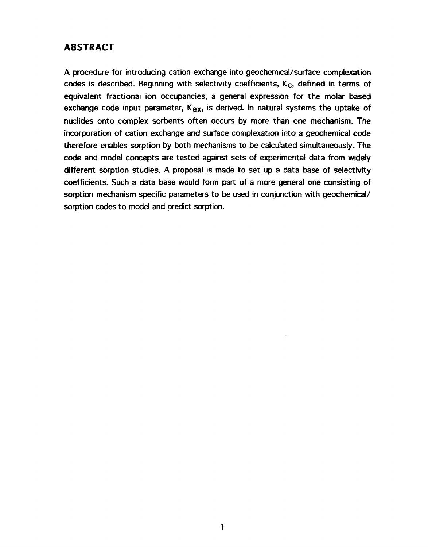## **ABSTRACT**

A procedure for introducing cation exchange into geochemical/surface complexation codes is described. Beginning with selectivity coefficients, Kc, defined in terms of equivalent fractional ion occupancies, a general expression for the molar based exchange code input parameter,  $K_{ex}$ , is derived. In natural systems the uptake of nuclides onto complex sorbents often occurs by more than one mechanism. The incorporation of cation exchange and surface complexation into a geochemical code therefore enables sorption by both mechanisms to be calculated simultaneously. The code and model concepts are tested against sets of experimental data from widely different sorption studies. A proposal is made to set up a data base of selectivity coefficients. Such a data base would form part of a more general one consisting of sorption mechanism specific parameters to be used in conjunction with geochemical/ sorption codes to model and oredict sorption.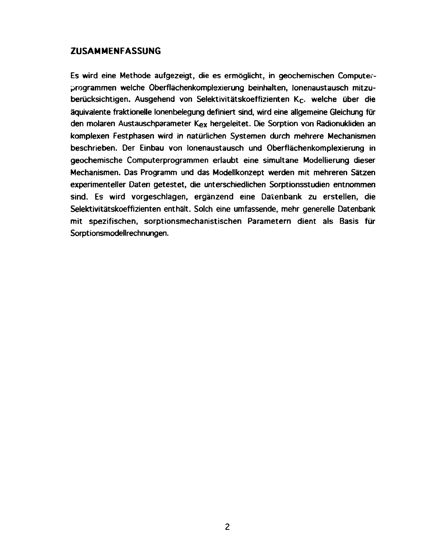### **ZUSAMMENFASSUNG**

Es wird eine Methode aufgezeigt, die es ermöglicht, in geochemischen Computerprcgrammen welche Oberflächenkomplexierung beinhalten, lonenaustausch mitzuberücksichtigen. Ausgehend von Selektivitätskoeffizienten Kc. welche über die äquivalente fraktionelle lonenbeiegung definiert sind, wird eine allgemeine Gleichung für den molaren Austauschparameter Kex hergeleitet. Die Sorption von Radionukliden an komplexen Festphasen wird in natürlichen Systemen durch mehrere Mechanismen beschrieben. Der Einbau von lonenaustausch und Oberflächenkomplexierung in geochemische Computerprogrammen erlaubt eine simultane Modellierung dieser Mechanismen. Das Programm und das Modellkonzept werden mit mehreren Sätzen experimenteller Daten getestet, die unterschiedlichen Sorptionsstudien entnommen sind. Es wird vorgeschlagen, ergänzend eine Datenbank zu erstellen, die Selektivitätskoeffizienten enthält. Solch eine umfassende, mehr generelle Datenbank mit spezifischen, sorptionsmechanistischen Parametern dient als Basis für Sorptionsmodellrechnungen.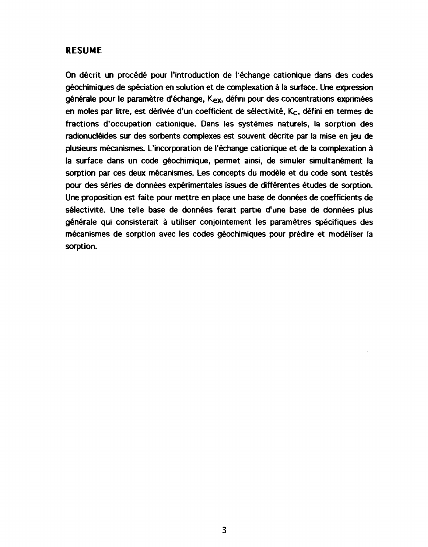## RESUME

On décrit un procédé pour l'introduction de l'échange cationique dans des codes géochimiques de spéciation en solution et de complexation à la surface. Une expression générale pour le paramètre d'échange, K<sub>ex</sub>, défini pour des concentrations exprimées en moles par litre, est dérivée d'un coefficient de sélectivité, K<sub>C</sub>, défini en termes de fractions d'occupation cationique. Dans les systemes naturels, la sorption des radionucléides sur des sorbents complexes est souvent décrite par la mise en jeu de plusieurs mecanismes. L'incorporation de I'echange cationique et de la complexation ä la surface dans un code géochimique, permet ainsi, de simuler simultanément la sorption par ces deux mécanismes. Les concepts du modèle et du code sont testés pour des séries de données expérimentales issues de différentes études de sorption, Une proposition est faite pour mettre en place une base de données de coefficients de sélectivité. Une telle base de données ferait partie d'une base de données plus générale qui consisterait à utiliser conjointement les paramètres spécifiques des mecanismes de sorption avec les codes geochimiques pour predire et modeliser la sorption.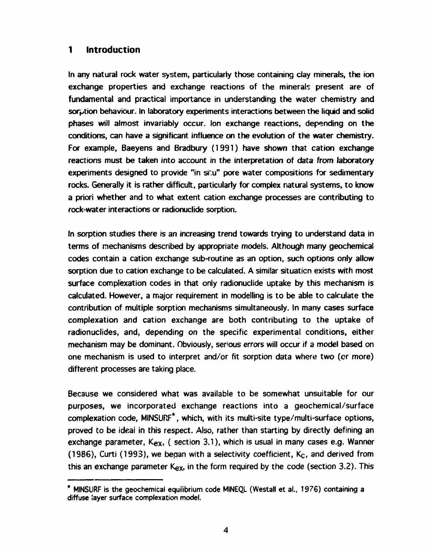#### **1 Introduction**

In any natural rock water system, particularly those containing clay minerals, the ion exchange properties and exchange reactions of the minerals present are of fundamental and practical importance in understanding the water chemistry and sorption behaviour. In laboratory experiments interactions between the liquid and solid phases will almost invariably occur, ion exchange reactions, depending on the conditions, can have a significant influence on the evolution of the water chemistry. For example, Baeyens and Bradbury (1991) have shown that cation exchange reactions must be taken into account in the interpretation of data from laboratory experiments designed to provide "in si':u" pore water compositions for sedimentary rocks. Generally it is rather difficult, particularly for complex natural systems, to know a priori whether and to what extent cation exchange processes are contributing to rock-water interactions or radionuclide sorption.

In sorption studies there is an increasing trend towards trying to understand data in terms of mechanisms described by appropriate models. Although many geochemical codes contain a cation exchange sub-routine as an option, such options only allow sorption due to cation exchange to be calculated. A similar situation exists with most surface complexation codes in that only radionuclide uptake by this mechanism is calculated. However, a major requirement in modelling is to be able to calculate the contribution of multiple sorption mechanisms simultaneously. In many cases surface complexation and cation exchange are both contributing to the uptake of radionuclides, and, depending on the specific experimental conditions, either mechanism may be dominant. Obviously, serious errors will occur if a model based on one mechanism is used to interpret and/or fit sorption data where two (or more) different processes are taking place.

Because we considered what was available to be somewhat unsuitable for our purposes, we incorporated exchange reactions into a geochemical/surface complexation code, MINSURF\*, which, with its multi-site type/multi-surface options, proved to be ideai in this respect. Also, rather than starting by directly defining an exchange parameter,  $K_{ex}$ , (section 3.1), which is usual in many cases e.g. Wanner (1986), Curti (1993), we began with a selectivity coefficient,  $K_c$ , and derived from this an exchange parameter  $K_{ex}$ , in the form required by the code (section 3.2). This

<sup>\*</sup> MINSURF is the geochemical equilibrium code MINEQL (Westall et al., 1976) containing a diffuse layer surface compiexation model.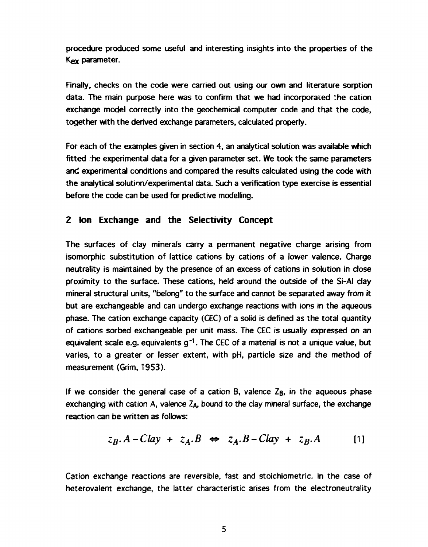procedure produced some useful and interesting insights into the properties of the Kex parameter.

Finally, checks on the code were carried out using our own and literature sorption data. The main purpose here was to confirm that we had incorporated the cation exchange model correctly into the geochemical computer code and that the code, together with the derived exchange parameters, calculated properly.

For each of the examples given in section 4, an analytical solution was available which fitted he experimental data for a given parameter set. We took the same parameters and experimental conditions and compared the results calculated using the code with the analytical solution/experimental data. Such a verification type exercise is essential before the code can be used for predictive modelling.

## **2 Ion Exchange and the Selectivity Concept**

The surfaces of clay minerals carry a permanent negative charge arising from isomorphic substitution of lattice cations by cations of a lower valence. Charge neutrality is maintained by the presence of an excess of cations in solution in close proximity to the surface. These cations, held around the outside of the Si-AI clay mineral structural units, "belong" to the surface and cannot be separated away from it but are exchangeable and can undergo exchange reactions with ions in the aqueous phase. The cation exchange capacity (CEC) of a solid is defined as the total quantity of cations sorbed exchangeable per unit mass. The CEC is usually expressed on an equivalent scale e.g. equivalents g<sup>-1</sup>. The CEC of a material is not a unique value, but varies, to a greater or lesser extent, with pH, particle size and the method of measurement (Grim, 1953).

If we consider the general case of a cation B, valence  $Z_B$ , in the aqueous phase exchanging with cation A, valence  $Z_A$ , bound to the clay mineral surface, the exchange reaction can be written as follows:

$$
z_B.A - Clay + z_A.B \Leftrightarrow z_A.B - Clay + z_B.A \qquad [1]
$$

Cation exchange reactions are reversible, fast and stoichiometric. In the case of heterovalent exchange, the latter characteristic arises from the electroneutrality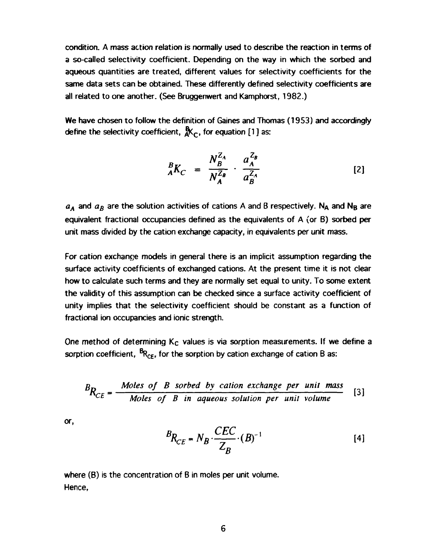condition. A mass action relation is normally used to describe the reaction in terms of a so-called selectivity coefficient. Depending on the way in which the sorbed and aqueous quantities are treated, different values for selectivity coefficients for the same data sets can be obtained. These differently defined selectivity coefficients are all related to one another. (See Bruggenwert and Kamphorst, 1982.)

We have chosen to follow the definition of Gaines and Thomas (1953) and accordingly define the selectivity coefficient,  $R_{c}$ , for equation [1] as:

$$
{}_{A}^{B}K_{C} = \frac{N_{B}^{Z_{A}}}{N_{A}^{Z_{B}}} \cdot \frac{a_{A}^{Z_{B}}}{a_{B}^{Z_{A}}} \qquad [2]
$$

 $a_A$  and  $a_B$  are the solution activities of cations A and B respectively. N<sub>A</sub> and N<sub>B</sub> are equivalent fractional occupancies defined as the equivalents of A (or B) sorbed per unit mass divided by the cation exchange capacity, in equivalents per unit mass.

For cation exchange models in general there is an implicit assumption regarding the surface activity coefficients of exchanged cations. At the present time it is not clear how to calculate such terms and they are normally set equal to unity. To some extent the validity of this assumption can be checked since a surface activity coefficient of unity implies that the selectivity coefficient should be constant as a function of fractional ion occupancies and ionic strength.

One method of determining  $K<sub>C</sub>$  values is via sorption measurements. If we define a sorption coefficient,  ${}^{B}R_{CE}$ , for the sorption by cation exchange of cation B as:

$$
B_{C_E} = \frac{Moles \text{ of } B \text{ sorbed by cation exchange per unit mass}}{Moles \text{ of } B \text{ in aqueous solution per unit volume}}
$$
 [3]

or,

$$
{}^{B}R_{CE} = N_B \cdot \frac{CEC}{Z_B} \cdot (B)^{-1}
$$
 [4]

where (B) is the concentration of B in moles per unit volume. Hence,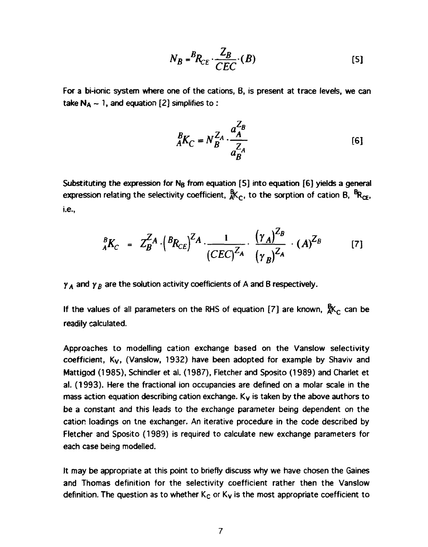$$
N_B = {}^B R_{CE} \cdot \frac{Z_B}{CEC} \cdot (B) \tag{5}
$$

For a bi-ionic system where one of the cations, B, is present at trace levels, we can take  $N_A \sim 1$ , and equation [2] simplifies to:

$$
{}_{A}^{B}K_{C} = N_{B}^{Z_{A}} \cdot \frac{a_{A}^{Z_{B}}}{a_{B}^{Z_{A}}} \tag{6}
$$

Substituting the expression for  $N_B$  from equation [5] into equation [6] yields a general expression relating the selectivity coefficient,  $_{\rm A}^{\rm B}$ K $_{\rm C}$ , to the sorption of cation B,  $^{\rm B}\!{\rm R}_{\rm CE}$ , **i.e.,** 

$$
{}_{A}^{B}K_{C} = Z_{B}^{Z_{A}} \cdot ({}_{B}R_{CE})^{Z_{A}} \cdot \frac{1}{(CEC)^{Z_{A}}} \cdot \frac{(\gamma_{A})^{Z_{B}}}{(\gamma_{B})^{Z_{A}}} \cdot (A)^{Z_{B}}
$$
 [7]

 $\gamma_A$  and  $\gamma_B$  are the solution activity coefficients of A and B respectively.

If the values of all parameters on the RHS of equation [7] are known,  $K_c$  can be readily calculated.

Approaches to modelling cation exchange based on the Vanslow selectivity coefficient, Ky, (Vanslow, 1932) have been adopted for example by Shaviv and Mattigod (1985), Schindler et al. (1987), Fletcher and Sposito (1989) and Charlet et al. (1993). Here the fractional ion occupancies are defined on a molar scale in the mass action equation describing cation exchange.  $K_v$  is taken by the above authors to be a constant and this leads to the exchange parameter being dependent on the cation loadings on tne exchanger. An iterative procedure in the code described by Fletcher and Sposito (1989) is required to calculate new exchange parameters for each case being modelled.

It may be appropriate at this point to briefly discuss why we have chosen the Gaines and Thomas definition for the selectivity coefficient rather then the Vanslow definition. The question as to whether  $K_c$  or  $K_v$  is the most appropriate coefficient to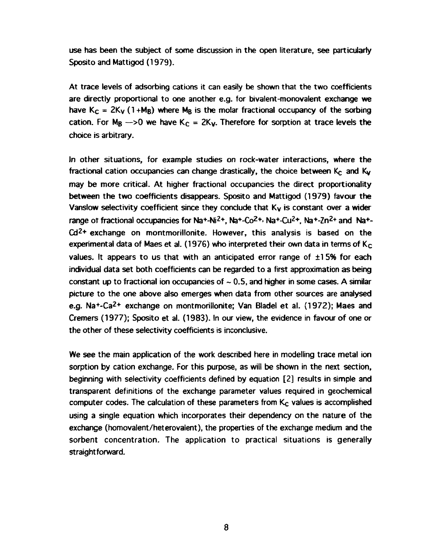use has been the subject of some discussion in the open literature, see particularly Sposito and Mattigod (1979).

At trace levels of adsorbing cations it can easily be shown that the two coefficients are directly proportional to one another e.g. for bivalent-monovalent exchange we have K<sub>C</sub> = 2K<sub>V</sub> (1+M<sub>B</sub>) where M<sub>B</sub> is the molar fractional occupancy of the sorbing cation. For  $M_B \rightarrow 0$  we have  $K_C = 2K_V$ . Therefore for sorption at trace levels the choice is arbitrary.

In other situations, for example studies on rock-water interactions, where the fractional cation occupancies can change drastically, the choice between  $K_c$  and  $K_v$ may be more critical. At higher fractional occupancies the direct proportionality between the two coefficients disappears. Sposito and Mattigod (1979) favour the Vanslow selectivity coefficient since they conclude that  $K_V$  is constant over a wider range ot fractional occupancies for Na+-Ni<sup>2+</sup>, Na+-Co<sup>2+,</sup> Na+-Cu<sup>2+</sup>, Na+-Zn<sup>2+</sup> and Na+-Cd<sup>2+</sup> exchange on montmorillonite. However, this analysis is based on the experimental data of Maes et al. (1976) who interpreted their own data in terms of  $K_C$ values. It appears to us that with an anticipated error range of ±15% for each individual data set both coefficients can be regarded to a first approximation as being constant up to fractional ion occupancies of  $\sim 0.5$ , and higher in some cases. A similar picture to the one above also emerges when data from other sources are analysed e.g. Na<sup>+</sup>-Ca<sup>2+</sup> exchange on montmorillonite; Van Bladel et al. (1972); Maes and Cremers (1977); Sposito et al. (1983). In our view, the evidence in favour of one or the other of these selectivity coefficients is inconclusive.

We see the main application of the work described here in modelling trace metal ion sorption by cation exchange. For this purpose, as will be shown in the next section, beginning with selectivity coefficients defined by equation [2] results in simple and transparent definitions of the exchange parameter values required in geochemical computer codes. The calculation of these parameters from  $K_c$  values is accomplished using a single equation which incorporates their dependency on the nature of the exchange (homovalent/heterovalent), the properties of the exchange medium and the sorbent concentration. The application to practical situations is generally straightforward.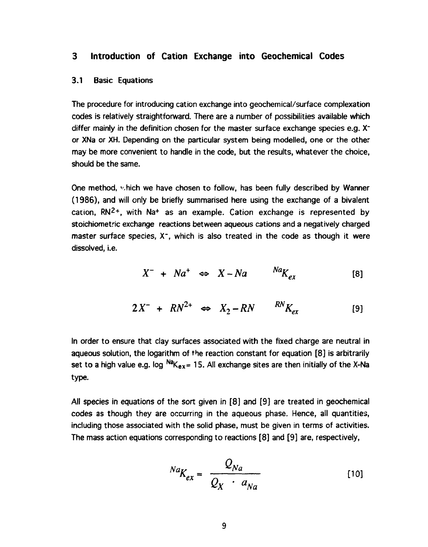#### **3 Introduction of Cation Exchange into Geochemical Codes**

#### 3.1 Basic Equations

The procedure for introducing cation exchange into geochemical/surface complexation codes is relatively straightforward. There are a number of possibilities available which differ mainly in the definition chosen for the master surface exchange species e.g.  $X^$ or XNa or XH. Depending on the particular system being modelled, one or the other may be more convenient to handle in the code, but the results, whatever the choice, should be the same.

One method, which we have chosen to follow, has been fully described by Wanner (1986), and will only be briefly summarised here using the exchange of a bivalent cation, RN<sup>2+</sup>, with Na<sup>+</sup> as an example. Cation exchange is represented by stoichiometric exchange reactions between aqueous cations and a negatively charged master surface species,  $X^-$ , which is also treated in the code as though it were dissolved, i.e.

$$
X^{-} + Na^{+} \Leftrightarrow X - Na \qquad {}^{Na}K_{ex} \qquad \qquad [8]
$$

$$
2X^- + RN^{2+} \Leftrightarrow X_2 - RN \t RN_{ex} \t (9)
$$

In order to ensure that clay surfaces associated with the fixed charge are neutral in aqueous solution, the logarithm of the reaction constant for equation [8] is arbitrarily set to a high value e.g. log  $\frac{\mathsf{Na}_{\mathsf{Kex}}=15.$  All exchange sites are then initially of the X-Na type.

All species in equations of the sort given in [8] and [9] are treated in geochemical codes as though they are occurring in the aqueous phase. Hence, all quantities, including those associated with the solid phase, must be given in terms of activities. The mass action equations corresponding to reactions [8] and [9] are, respectively,

$$
N a_{K_{ex}} = \frac{Q_{Na}}{Q_X \cdot a_{Na}}
$$
 [10]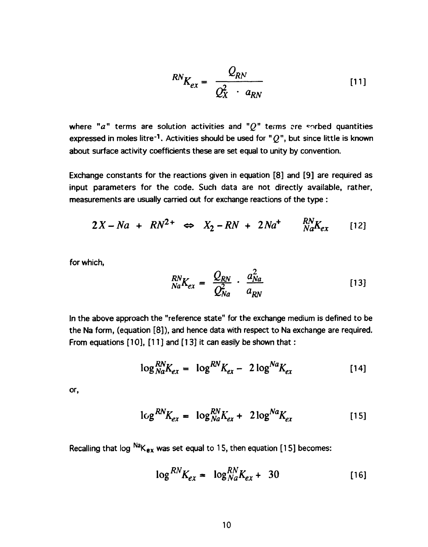$$
RN_{K_{ex}} = \frac{Q_{RN}}{Q_X^2 - a_{RN}}
$$
 [11]

where " $a$ " terms are solution activities and " $Q$ " terms are sorbed quantities expressed in moles litre-1. Activities should be used for "  $Q$  ", but since little is known  $\overline{\phantom{a}}$ about surface activity coefficients these are set equal to unity by convention.

Exchange constants for the reactions given in equation [8] and [9] are required as input parameters for the code. Such data are not directly available, rather, measurements are usually carried out for exchange reactions of the type :

$$
2X - Na + RN^{2+} \Leftrightarrow X_2 - RN + 2Na^{+} \qquad \qquad \overset{RN}{\underset{Na}{\text{N}}K_{ex}} \qquad [12]
$$

for which,

$$
{}_{Na}^{RN}K_{ex} = \frac{Q_{RN}}{Q_{Na}^2} \cdot \frac{a_{Na}^2}{a_{RN}}
$$
 [13]

In the above approach the "reference state" for the exchange medium is defined to be the Na form, (equation [8]), and hence data with respect to Na exchange are required. From equations [10], [11] and [13] it can easily be shown that:

$$
\log_{Na}^{RN}K_{ex} = \log^{RN}K_{ex} - 2\log^{Na}K_{ex}
$$
 [14]

**or,** 

$$
\log^{RN}K_{ex} = \log^{RN}_{Na}K_{ex} + 2\log^{Na}K_{ex}
$$
 [15]

Recalling that  $\log$  <sup>Na</sup>K<sub>ex</sub> was set equal to 15, then equation [15] becomes:

$$
\log^{RN}K_{ex} = \log^{RN}_{Na}K_{ex} + 30
$$
 [16]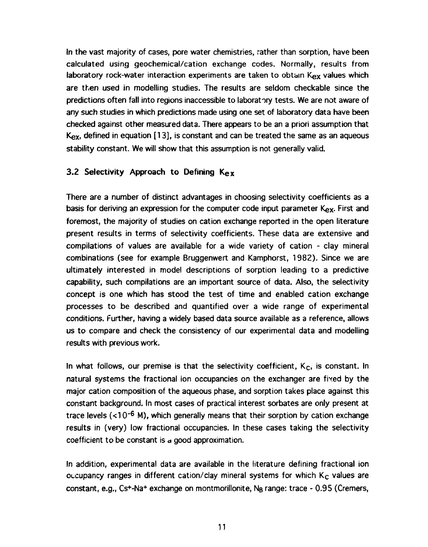In the vast majority of cases, pore water chemistries, rather than sorption, have been calculated using geochemical/cation exchange codes. Normally, results from laboratory rock-water interaction experiments are taken to obtain Kex values which are then used in modelling studies. The results are seldom checkable since the predictions often fall into regions inaccessible to laboratory tests. We are not aware of any such studies in which predictions made using one set of laboratory data have been checked against other measured data. There appears to be an a priori assumption that Kex. defined in equation [13], is constant and can be treated the same as an aqueous stability constant. We will show that this assumption is not generally valid.

#### **3.2 Selectivity Approach to Defining Kex**

There are a number of distinct advantages in choosing selectivity coefficients as a basis for deriving an expression for the computer code input parameter Kex. First and foremost, the majority of studies on cation exchange reported in the open literature present results in terms of selectivity coefficients. These data are extensive and compilations of values are available for a wide variety of cation - clay mineral combinations (see for example Bruggenwert and Kamphorst, 1982). Since we are ultimately interested in model descriptions of sorption leading to a predictive capability, such compilations are an important source of data. Also, the selectivity concept is one which has stood the test of time and enabled cation exchange processes to be described and quantified over a wide range of experimental conditions. Further, having a widely based data source available as a reference, allows us to compare and check the consistency of our experimental data and modelling results with previous work.

In what follows, our premise is that the selectivity coefficient,  $K_c$ , is constant. In natural systems the fractional ion occupancies on the exchanger are fixed by the major cation composition of the aqueous phase, and sorption takes place against this constant background. In most cases of practical interest sorbates are only present at trace levels (<10<sup>-6</sup> M), which generally means that their sorption by cation exchange results in (very) low fractional occupancies. In these cases taking the selectivity coefficient to be constant is  $a$  good approximation.

In addition, experimental data are available in the literature defining fractional ion occupancy ranges in different cation/clay mineral systems for which  $K_c$  values are constant, e.g., Cs+-Na+ exchange on montmorillonite, N<sub>B</sub> range: trace - 0.95 (Cremers,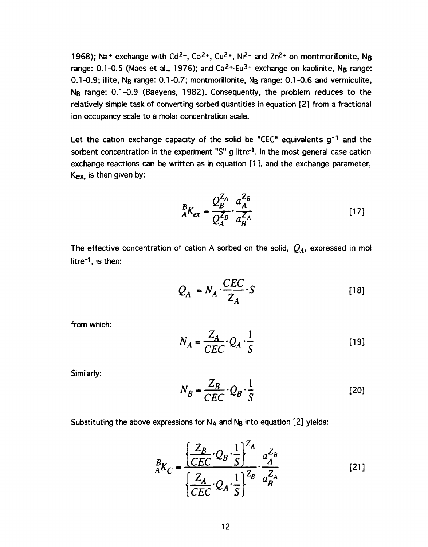1968); Na+ exchange with Cd<sup>2+</sup>, Co<sup>2+</sup>, Cu<sup>2+</sup>, Ni<sup>2+</sup> and Zn<sup>2+</sup> on montmorillonite, N<sub>B</sub> range:  $0.1$ - $0.5$  (Maes et al., 1976); and Ca<sup>2+</sup>-Eu<sup>3+</sup> exchange on kaolinite, N<sub>B</sub> range: 0.1-0.9; illite, N<sub>B</sub> range: 0.1-0.7; montmorillonite, N<sub>B</sub> range: 0.1-0.6 and vermiculite, N<sub>B</sub> range: 0.1-0.9 (Baeyens, 1982). Consequently, the problem reduces to the relatively simple task of converting sorbed quantities in equation [2] from a fractional ion occupancy scale to a molar concentration scale.

Let the cation exchange capacity of the solid be "CEC" equivalents  $g^{-1}$  and the sorbent concentration in the experiment "S" g litre<sup>-1</sup>. In the most general case cation exchange reactions can be written as in equation [1 ], and the exchange parameter, Kex, is then given by:

$$
{}_{A}^{B}K_{ex} = \frac{Q_{B}^{Z_{A}}}{Q_{A}^{Z_{B}}} \cdot \frac{a_{A}^{Z_{B}}}{a_{B}^{Z_{A}}}
$$
 [17]

The effective concentration of cation A sorbed on the solid,  $Q_A$ , expressed in mol litre<sup>-1</sup>, is then:

$$
Q_A = N_A \cdot \frac{CEC}{Z_A} \cdot S \tag{18}
$$

from which:

$$
N_A = \frac{Z_A}{CEC} \cdot Q_A \cdot \frac{1}{S}
$$
 [19]

Simi'arly:

$$
N_B = \frac{Z_B}{CEC} \cdot Q_B \cdot \frac{1}{S}
$$
 [20]

Substituting the above expressions for  $N_A$  and  $N_B$  into equation [2] yields:

$$
{}_{AKC}^{B} = \frac{\left\{\frac{Z_B}{CEC} \cdot Q_B \cdot \frac{1}{S}\right\}^{Z_A}}{\left\{\frac{Z_A}{CEC} \cdot Q_A \cdot \frac{1}{S}\right\}^{Z_B}} \cdot \frac{a_A^{Z_B}}{a_B^{Z_A}}
$$
(21)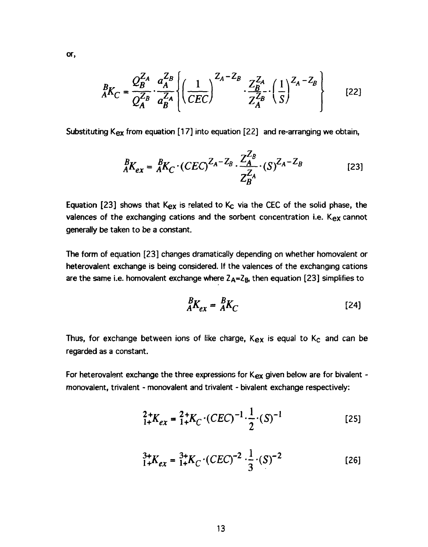$$
{}_{A}^{B}K_{C} = \frac{Q_{B}^{Z_{A}}}{Q_{A}^{Z_{B}}} \cdot \frac{a_{A}^{Z_{B}}}{a_{B}^{Z_{A}}}\left\{ \left(\frac{1}{CEC}\right)^{Z_{A}-Z_{B}} \cdot \frac{Z_{B}^{Z_{A}}}{Z_{A}^{Z_{B}}} \cdot \left(\frac{1}{S}\right)^{Z_{A}-Z_{B}} \right\}
$$
 [22]

Substituting  $K_{ex}$  from equation [17] into equation [22] and re-arranging we obtain,

$$
{}_{A}^{B}K_{ex} = {}_{A}^{B}K_{C} \cdot (CEC)^{Z_{A} - Z_{B}} \cdot \frac{Z_{A}^{Z_{B}}}{Z_{B}^{Z_{A}}} \cdot (S)^{Z_{A} - Z_{B}}
$$
 [23]

Equation [23] shows that  $K_{ex}$  is related to  $K_{c}$  via the CEC of the solid phase, the valences of the exchanging cations and the sorbent concentration i.e. Kex cannot generally be taken to be a constant.

The form of equation [23] changes dramatically depending on whether homovalent or heterovalent exchange is being considered. If the valences of the exchanging cations are the same i.e. homovalent exchange where  $Z_A = Z_B$ , then equation [23] simplifies to

$$
{}_{A}^{B}K_{ex} = {}_{A}^{B}K_{C} \tag{24}
$$

Thus, for exchange between ions of like charge,  $K_{ex}$  is equal to  $K_{c}$  and can be regarded as a constant.

For heterovalent exchange the three expressions for  $K_{ex}$  given below are for bivalent monovalent, trivalent - monovalent and trivalent - bivalent exchange respectively:

$$
{}_{1+}^{2+}K_{ex} = {}_{1+}^{2+}K_C \cdot (CEC)^{-1} \cdot \frac{1}{2} \cdot (S)^{-1}
$$
 [25]

 $\overline{a}$ 

$$
{}_{1+}^{3+}K_{ex} = {}_{1+}^{3+}K_C \cdot (CEC)^{-2} \cdot \frac{1}{3} \cdot (S)^{-2}
$$
 [26]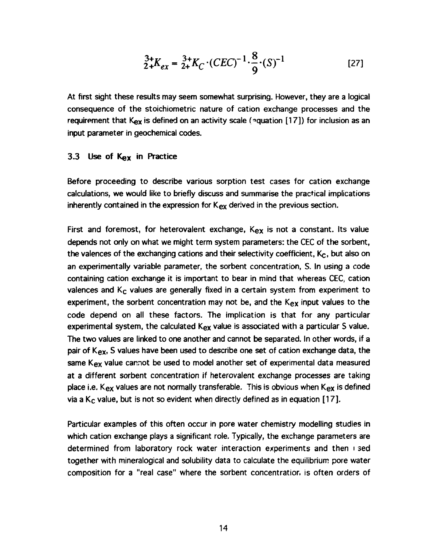$$
{}_{2+}^{3+}K_{ex} = {}_{2+}^{3+}K_C \cdot (CEC)^{-1} \cdot \frac{8}{9} \cdot (S)^{-1}
$$
 [27]

At first sight these results may seem somewhat surprising. However, they are a logical consequence of the stoichiometric nature of cation exchange processes and the requirement that K<sub>ex</sub> is defined on an activity scale (equation [17]) for inclusion as an input parameter in geochemical codes.

#### 3.3 Use of K<sub>ex</sub> in Practice

Before proceeding to describe various sorption test cases for cation exchange calculations, we would like to briefly discuss and summarise the practical implications inherently contained in the expression for  $K_{ex}$  derived in the previous section.

First and foremost, for heterovalent exchange,  $K_{ex}$  is not a constant. Its value depends not only on what we might term system parameters: the CEC of the sorbent, the valences of the exchanging cations and their selectivity coefficient,  $K_c$ , but also on an experimentally variable parameter, the sorbent concentration, S. In using a code containing cation exchange it is important to bear in mind that whereas CEC, cation valences and  $K_c$  values are generally fixed in a certain system from experiment to experiment, the sorbent concentration may not be, and the  $K_{ex}$  input values to the code depend on all these factors. The implication is that for any particular experimental system, the calculated Kex value is associated with a particular S value. The two values are linked to one another and cannot be separated. In other words, if a pair of K<sub>ex</sub>, S values have been used to describe one set of cation exchange data, the same K<sub>ex</sub> value cannot be used to model another set of experimental data measured at a different sorbent concentration if heterovalent exchange processes are taking place i.e. K<sub>ex</sub> values are not normally transferable. This is obvious when K<sub>ex</sub> is defined via a K<sub>c</sub> value, but is not so evident when directly defined as in equation [17].

Particular examples of this often occur in pore water chemistry modelling studies in which cation exchange plays a significant role. Typically, the exchange parameters are determined from laboratory rock water interaction experiments and then i sed together with mineralogical and solubility data to calculate the equilibrium pore water composition for a "real case" where the sorbent concentratior, is often orders of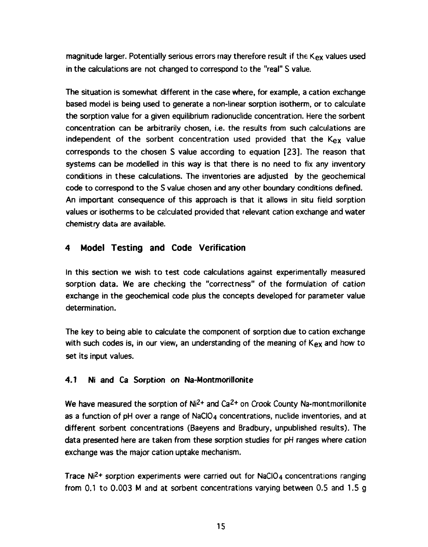magnitude larger. Potentially serious errors may therefore result if the  $K_{\text{ex}}$  values used in the calculations are not changed to correspond to the "real" S value.

The situation is somewhat different in the case where, for example, a cation exchange based model is being used to generate a non-linear sorption isotherm, or to calculate the sorption value for a given equilibrium radionuclide concentration. Here the sorbent concentration can be arbitrarily chosen, i.e. the results from such calculations are independent of the sorbent concentration used provided that the  $K_{ex}$  value corresponds to the chosen S value according to equation [23]. The reason that systems can be modelled in this way is that there is no need to fix any inventory conditions in these calculations. The inventories are adjusted by the geochemical code to correspond to the S value chosen and any other boundary conditions defined. An important consequence of this approach is that it allows in situ field sorption values or isotherms to be calculated provided that relevant cation exchange and water chemistry data are available.

#### **4 Model Testing and Code Verification**

In this section we wish to test code calculations against experimentally measured sorption data. We are checking the "correctness" of the formulation of cation exchange in the geochemicai code plus the concepts developed for parameter value determination.

The key to being able to calculate the component of sorption due to cation exchange with such codes is, in our view, an understanding of the meaning of  $K_{ex}$  and how to set its input values.

#### 4.1 Ni **and** Ca Sorption on Na-Montmorillonite

We have measured the sorption of  $Ni^{2+}$  and  $Ca^{2+}$  on Crook County Na-montmorillonite as a function of pH over a range of NaCI04 concentrations, nuclide inventories, and at different sorbent concentrations (Baeyens and Bradbury, unpublished results). The data presented here are taken from these sorption studies for pH ranges where cation exchange was the major cation uptake mechanism.

Trace Ni<sup>2+</sup> sorption experiments were carried out for NaCIO<sub>4</sub> concentrations ranging from 0.1 to 0.003 M and at sorbent concentrations varying between 0.5 and 1.5 g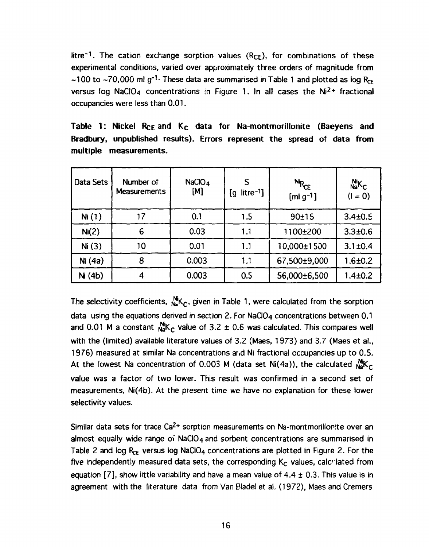litre<sup>-1</sup>. The cation exchange sorption values  $(R_{CE})$ , for combinations of these experimental conditions, varied over approximately three orders of magnitude from ~100 to ~70,000 ml g<sup>-1.</sup> These data are summarised in Table 1 and plotted as log R<sub>CE</sub> versus log NaClO<sub>4</sub> concentrations in Figure 1. In all cases the Ni<sup>2+</sup> fractional occupancies were less than 0.01.

Table 1: Nickel R<sub>CE</sub> and K<sub>C</sub> data for Na-montmorillonite (Baeyens and **Bradbury, unpublished results). Errors represent the spread of data from multiple measurements.** 

| Data Sets | Number of<br><b>Measurements</b> | NaCIO <sub>4</sub><br>[M] | S<br>$litre-1$<br><u>g</u> | $N_{RCE}$<br>$[mlg^{-1}]$ | Nik <sub>c</sub><br>$(1 = 0)$ |
|-----------|----------------------------------|---------------------------|----------------------------|---------------------------|-------------------------------|
| Ni(1)     |                                  | 0.1                       | 1.5                        | 90±15                     | $3.4 \pm 0.5$                 |
| Ni(2)     | 6                                | 0.03                      | 1.1                        | 1100±200                  | $3.3 \pm 0.6$                 |
| Ni(3)     | 10                               | 0.01                      | 1.1                        | 10,000±1500               | $3.1 \pm 0.4$                 |
| Ni $(4a)$ | 8                                | 0.003                     | 1.1                        | 67,500±9,000              | $1.6 \pm 0.2$                 |
| Ni (4b)   |                                  | 0.003                     | 0.5                        | 56,000±6,500              | $1.4 \pm 0.2$                 |

The selectivity coefficients,  $N_{\text{ia}}^{N_{\text{ii}}K_{\text{C}}}$ , given in Table 1, were calculated from the sorption data using the equations derived in section 2. For NaCI04 concentrations between 0.1 and 0.01 M a constant  $^{Nik}_{NA}$  value of 3.2  $\pm$  0.6 was calculated. This compares well with the (limited) available literature values of 3.2 (Maes, 1973) and 3.7 (Maes et al., 1976) measured at similar Na concentrations arid Ni fractional occupancies up to 0.5. At the lowest Na concentration of 0.003 M (data set Ni(4a)), the calculated  $N_{\rm B}^{N_{\rm K}}$ value was a factor of two lower. This result was confirmed in a second set of measurements, Ni(4b). At the present time we have no explanation for these lower selectivity values.

Similar data sets for trace Ca<sup>2+</sup> sorption measurements on Na-montmorillonite over an almost equally wide range of  $NaClO<sub>4</sub>$  and sorbent concentrations are summarised in Table 2 and log  $R_{CE}$  versus log NaCIO<sub>4</sub> concentrations are plotted in Figure 2. For the five independently measured data sets, the corresponding  $K_c$  values, calculated from equation [7], show little variability and have a mean value of  $4.4 \pm 0.3$ . This value is in agreement with the literature data from Van Bladel et al. (1972), Maes and Cremers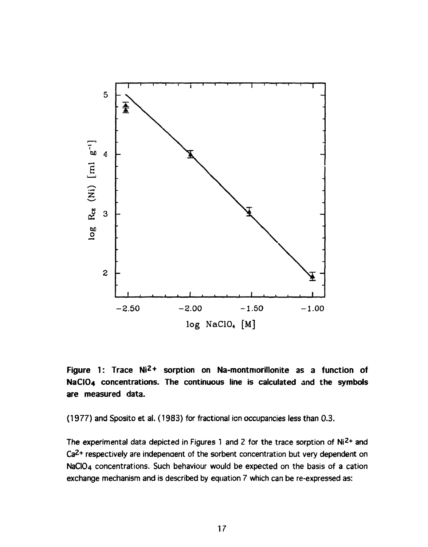

**Figure 1: Trace Ni<sup>2+</sup> sorption on Na-montmorillonite as a function of NaCI04 concentrations. The continuous line is calculated and the symbols are measured data.** 

(1977) and Sposito et al. (1983) for fractional ion occupancies less than 0.3.

The experimental data depicted in Figures 1 and 2 for the trace sorption of  $Ni<sup>2+</sup>$  and Ca<sup>2+</sup> respectively are independent of the sorbent concentration but very dependent on NaCI04 concentrations. Such behaviour would be expected on the basis of a cation exchange mechanism and is described by equation 7 which can be re-expressed as: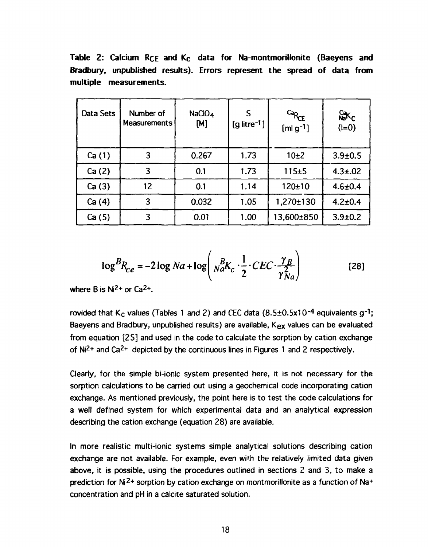Table 2: Calcium R<sub>CE</sub> and K<sub>C</sub> data for Na-montmorillonite (Baeyens and **Bradbury, unpublished results). Errors represent the spread of data from multiple measurements.** 

| Data Sets | Number of<br><b>Measurements</b> | NaClO <sub>4</sub><br>[M] | S<br>$[g$ litre <sup>-1</sup> ] | CaRCE<br>$[m g^{-1}]$ | <b>Carc</b><br>$(I=0)$ |
|-----------|----------------------------------|---------------------------|---------------------------------|-----------------------|------------------------|
| Ca(1)     | 3                                | 0.267                     | 1.73                            | 10±2                  | $3.9 \pm 0.5$          |
| Ca(2)     | 3                                | 0.1                       | 1.73                            | 115±5                 | $4.3 \pm .02$          |
| Ca(3)     | 12                               | 0.1                       | 1.14                            | 120±10                | $4.6 \pm 0.4$          |
| Ca(4)     | 3                                | 0.032                     | 1.05                            | 1,270±130             | $4.2 \pm 0.4$          |
| Ca(5)     | 3                                | 0.01                      | 1.00                            | 13,600±850            | $3.9 \pm 0.2$          |

$$
\log^{B} R_{ce} = -2 \log Na + \log \left( \frac{B}{Na} K_c \cdot \frac{1}{2} \cdot CEC \cdot \frac{\gamma_B}{\gamma_{Na}^2} \right)
$$
 [28]

where B is  $Ni<sup>2+</sup>$  or  $Ca<sup>2+</sup>$ .

rovided that  $K_C$  values (Tables 1 and 2) and CEC data (8.5 $\pm$ 0.5x10<sup>-4</sup> equivalents g<sup>-1</sup>; Baeyens and Bradbury, unpublished results) are available, K<sub>ex</sub> values can be evaluated from equation [25] and used in the code to calculate the sorption by cation exchange of Ni<sup>2+</sup> and Ca<sup>2+</sup> depicted by the continuous lines in Figures 1 and 2 respectively.

Clearly, for the simple bi-ionic system presented here, it is not necessary for the sorption calculations to be carried out using a geochemical code incorporating cation exchange. As mentioned previously, the point here is to test the code calculations for a well defined system for which experimental data and an analytical expression describing the cation exchange (equation 28) are available.

In more realistic multi-ionic systems simple analytical solutions describing cation exchange are not available. For example, even with the relatively limited data given above, it is possible, using the procedures outlined in sections 2 and 3, to make a prediction for Ni<sup>2+</sup> sorption by cation exchange on montmorillonite as a function of Na+ concentration and pH in a calcite saturated solution.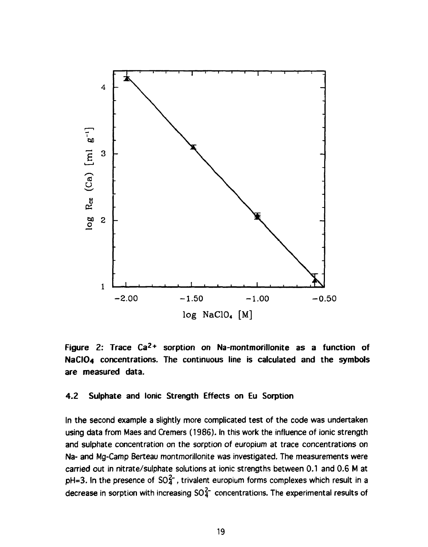

**Figure 2: Trace Ca2+ sorption on Na-montmorillonite as a function of NaCI04 concentrations. The continuous line is calculated and the symbols are measured data.** 

#### **4.2 Sulphate and Ionic Strength Effects on Eu Sorption**

In **the** second example a slightly more complicated test of the code was undertaken using data from Maes and Cremers (1986). In this work the influence of ionic strength and sulphate concentration on the sorption of europium at trace concentrations on Na- and Mg-Camp Berteau montmorillonite was investigated. The measurements were carried out in nitrate/sulphate solutions at ionic strengths between 0.1 and 0.6 M at pH=3. In the presence of  $SO_4^{2-}$ , trivalent europium forms complexes which result in a decrease in sorption with increasing  $SO_4^{2-}$  concentrations. The experimental results of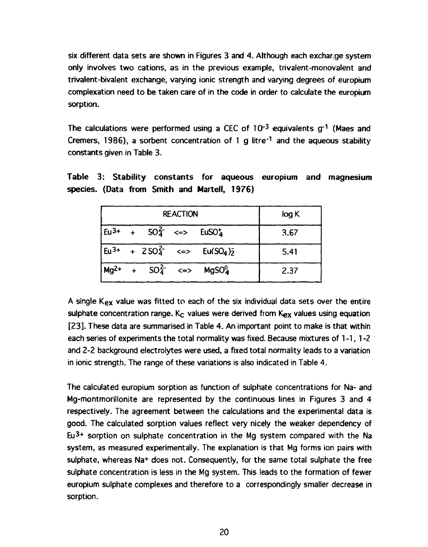six different data sets are shown in Figures 3 and 4. Although each exchange system only involves two cations, as in the previous example, trivalent-monovalent and trivalent-bivalent exchange, varying ionic strength and varying degrees of europium complexation need to be taken care of in the code in order to calculate the europium sorption.

The calculations were performed using a CEC of  $10^{-3}$  equivalents  $g^{-1}$  (Maes and Cremers, 1986), a sorbent concentration of 1 g litre<sup>-1</sup> and the aqueous stability constants given in Table 3.

**Table 3: Stability constants for aqueous europium and magnesium species. (Data from Smith and Martell, 1976)** 

| <b>REACTION</b> |  |                                                                                                                  | log K                                                                        |      |
|-----------------|--|------------------------------------------------------------------------------------------------------------------|------------------------------------------------------------------------------|------|
|                 |  | $\left  \begin{array}{ccc} \text{Eu3+} & + & \text{SO}_4^{2-} & \text{<=} & \text{EuSO}_4^+ \end{array} \right $ |                                                                              | 3.67 |
|                 |  |                                                                                                                  | $\text{Eu}^{3+}$ + 2 SO $\frac{2}{4}$ <=> Eu(SO <sub>4</sub> ) $\frac{2}{5}$ | 5.41 |
|                 |  | $Mg^{2+}$ + SO <sub>4</sub> <sup>2</sup> <=>                                                                     | MqSO <sub>4</sub> <sup>0</sup>                                               | 2.37 |

A single  $K_{ex}$  value was fitted to each of the six individual data sets over the entire sulphate concentration range.  $K_C$  values were derived from  $K_{ex}$  values using equation [23]. These data are summarised in Table 4. An important point to make is that within each series of experiments the total normality was fixed. Because mixtures of 1-1, 1-2 and 2-2 background electrolytes were used, **a** fixed total normality leads to a variation in ionic strength. The range of these variations is also indicated in Table 4.

The calculated europium sorption as function of sulphate concentrations for Na- and Mg-montmorillonite are represented by the continuous lines in Figures 3 and 4 respectively. The agreement between the calculations and the experimental data is good. The calculated sorption values reflect very nicely the weaker dependency of Eu<sup>3+</sup> sorption on sulphate concentration in the Mg system compared with the Na system, as measured experimentally. The explanation is that Mg forms ion pairs with sulphate, whereas Na+ does not. Consequently, for the same total sulphate the free sulphate concentration is less in the Mg system. This leads to the formation of fewer europium sulphate complexes and therefore to a correspondingly smaller decrease in sorption.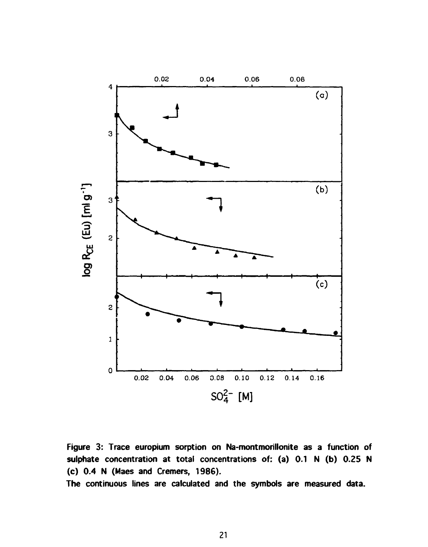

**Figure 3: Trace europium sorption on Na-montmorillonite as a function of sulphate concentration at total concentrations of: (a) 0.1 N (b) 0.25 N (c) 0.4 N (Maes and Cremers, 1986).** 

**The continuous lines are calculated and the symbols are measured data.**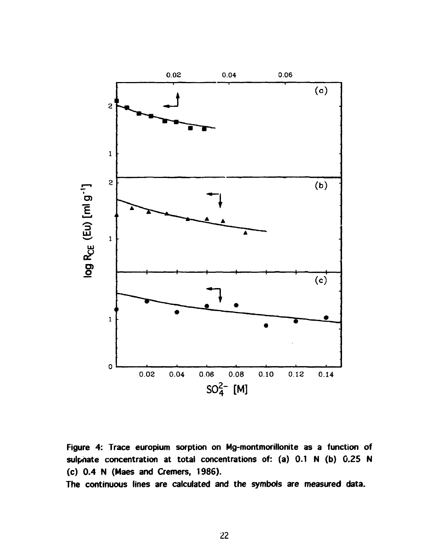

**Figure 4: Trace europium sorption on Mg-montmoriilonite as a function of sulphate concentration at total concentrations of: (a) 0.1 N (b) 0.25 N (c) 0.4 N (Maes and Cremers, 1986).** 

**The continuous lines are calculated and the symbols are measured data.**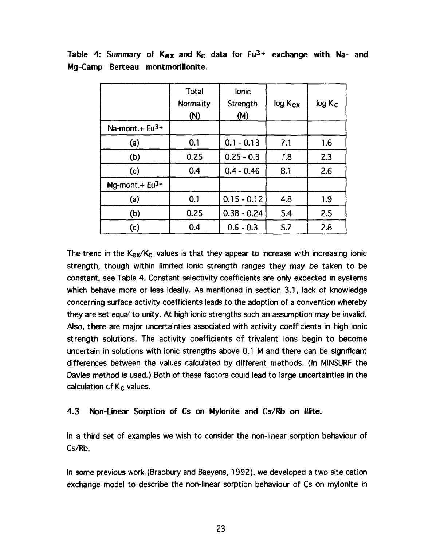|                               | Total<br>Normality<br>(N) | lonic<br>Strength<br>(M) | log K <sub>ex</sub> | $log K_C$ |
|-------------------------------|---------------------------|--------------------------|---------------------|-----------|
| Na-mont. $+$ Eu <sup>3+</sup> |                           |                          |                     |           |
| (a)                           | 0.1                       | $0.1 - 0.13$             | 7.1                 | 1.6       |
| (b)                           | 0.25                      | $0.25 - 0.3$             | .78                 | 2.3       |
| (c)                           | 0.4                       | $0.4 - 0.46$             | 8.1                 | 2.6       |
| Mg-mont. $+$ Eu <sup>3+</sup> |                           |                          |                     |           |
| (a)                           | 0.1                       | $0.15 - 0.12$            | 4.8                 | 1.9       |
| (b)                           | 0.25                      | $0.38 - 0.24$            | 5.4                 | 2.5       |
| (c)                           | 0.4                       | $0.6 - 0.3$              | 5.7                 | 2.8       |

**Table 4: Summary of Kex and Kc data for Eu3+ exchange with Na- and Mg-Camp Berteau montmorillonite.** 

The trend in the  $K_{ex}/K_{c}$  values is that they appear to increase with increasing ionic strength, though within limited ionic strength ranges they may be taken to be constant, see Table 4. Constant selectivity coefficients are only expected in systems which behave more or less ideally. As mentioned in section 3.1, lack of knowledge concerning surface activity coefficients leads to the adoption of a convention whereby they are set equal to unity. At high ionic strengths such an assumption may be invalid. Also, there are major uncertainties associated with activity coefficients in high ionic strength solutions. The activity coefficients of trivalent ions begin to become uncertain in solutions with ionic strengths above 0.1 M and there can be significant differences between the values calculated by different methods. (In MINSURF the Davies method is used.) Both of these factors could lead to large uncertainties in the calculation  $cf$  K<sub>c</sub> values.

#### **4.3 Non-Linear Sorption of Cs on Mylonite and Cs/Rb on lllite.**

In a third set of examples we wish to consider the non-linear sorption behaviour of Cs/Rb.

In some previous work (Bradbury and Baeyens, 1992), we developed a two site cation exchange model to describe the non-linear sorption behaviour of Cs on mylonite in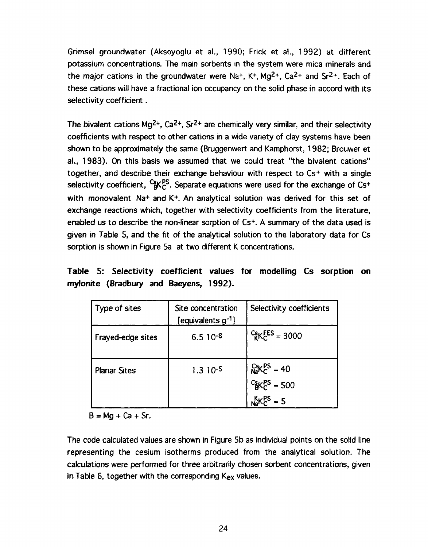Grimsel groundwater (Aksoyoglu et al., 1990; Frick et al., 1992) at different potassium concentrations. The main sorbents in the system were mica minerals and the major cations in the groundwater were Na<sup>+</sup>, K<sup>+</sup>, Mg<sup>2+</sup>, Ca<sup>2+</sup> and Sr<sup>2+</sup>. Each of these cations will have a fractional ion occupancy on the solid phase in accord with its selectivity coefficient.

The bivalent cations  $Mg^{2+}$ ,  $Ca^{2+}$ ,  $Sr^{2+}$  are chemically very similar, and their selectivity coefficients with respect to other cations in a wide variety of clay systems have been shown to be approximately the same (Bruggenwert and Kamphorst, 1982; Brouwer et al., 1983). On this basis we assumed that we could treat "the bivalent cations" together, and describe their exchange behaviour with respect to Cs<sup>+</sup> with a single selectivity coefficient,  ${}^{\text{Cs}}_{\text{B}}$ K ${}^{\text{PS}}_{\text{C}}$ . Separate equations were used for the exchange of Cs+ with monovalent Na<sup>+</sup> and K<sup>+</sup>. An analytical solution was derived for this set of exchange reactions which, together with selectivity coefficients from the literature, enabled us to describe the non-linear sorption of Cs<sup>+</sup> . A summary of the data used is given in Table 5, and the fit of the analytical solution to the laboratory data for Cs sorption is shown in Figure 5a at two different K concentrations.

**Table 5: Selectivity coefficient values for modelling Cs sorption on mylonite (Bradbury and Baeyens, 1992).** 

| Type of sites       | Site concentration<br>[equivalents $g^{-1}$ ] | Selectivity coefficients                                               |
|---------------------|-----------------------------------------------|------------------------------------------------------------------------|
| Frayed-edge sites   | $6.510^{-8}$                                  | $\frac{\text{Cs}}{\text{K}}$ K $\text{FES}$ = 3000                     |
| <b>Planar Sites</b> | $1.310 - 5$                                   | $\frac{Cs}{Na}K_C^{PS} = 40$<br>$\frac{C_S}{B}K_C^{PS} = 500$<br>$= 5$ |

 $B = Ma + Ca + Sr$ .

The code calculated values are shown in Figure 5b as individual points on the solid line representing the cesium isotherms produced from the analytical solution. The calculations were performed for three arbitrarily chosen sorbent concentrations, given in Table 6, together with the corresponding K<sub>ex</sub> values.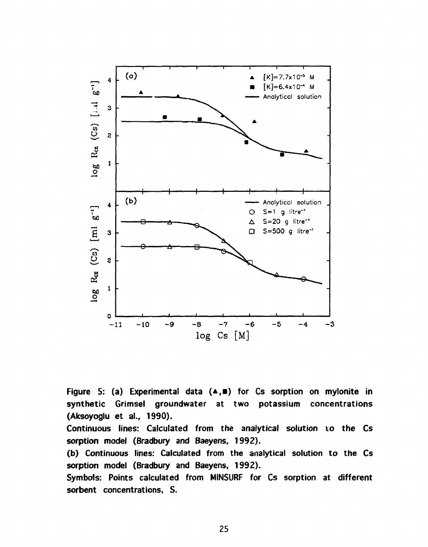

Figure 5: (a) Experimental data ( $\blacktriangle$ ,**n**) for Cs sorption on mylonite in **synthetic Grimsel groundwater at two potassium concentrations (Aksoyoglu et al., 1990).** 

**Continuous lines: Calculated from the analytical solution to the Cs sorption model (Bradbury and Baeyens, 1992).** 

**(b) Continuous lines: Calculated from the analytical solution to the Cs sorption model (Bradbury and Baeyens, 1992).** 

**Symbols: Points calculated from MINSURF for Cs sorption at different sorbent concentrations, S.**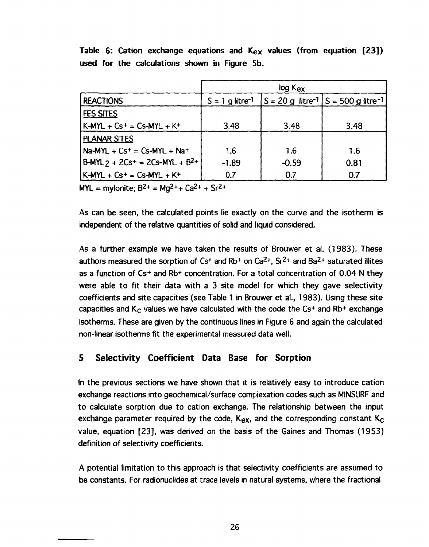|                                     | $log K_{ex}$                  |         |                                                                  |  |  |
|-------------------------------------|-------------------------------|---------|------------------------------------------------------------------|--|--|
| <b>REACTIONS</b>                    | $S = 1$ g litre <sup>-1</sup> |         | $ S = 20 g$ litre <sup>-1</sup> $ S = 500 g$ litre <sup>-1</sup> |  |  |
| <b>FES SITES</b>                    |                               |         |                                                                  |  |  |
| $K-MYL + Cs+ = Cs-MYL + K+$         | 3.48                          | 3.48    | 3.48                                                             |  |  |
| <b>PLANAR SITES</b>                 |                               |         |                                                                  |  |  |
| $Na-MYL + Cs+ = Cs-MYL + Na+$       | 1.6                           | 1.6     | 1.6                                                              |  |  |
| $B-MYL$ + 2Cs+ = 2Cs-MYL + $B^{2+}$ | $-1.89$                       | $-0.59$ | 0.81                                                             |  |  |
| $K-MYL + Cs+ = Cs-MYL + K+$         | 0.7                           | 0.7     | 0.7                                                              |  |  |

**Table 6:** Cation exchange equations **and Kex values** (from equation **[23]) used for the calculations shown in** Figure **5b.** 

MYL = mylonite;  $B^{2+} = Mg^{2+} + Ca^{2+} + Sr^{2+}$ 

As can be seen, the calculated points lie exactly on the curve and the isotherm is independent of the relative quantities of solid and liquid considered.

As a further example we have taken the results of Brouwer et al. (1983). These authors measured the sorption of  $Cst$  and Rb<sup>+</sup> on  $Ca^{2+}$ ,  $Sr^{2+}$  and  $Ba^{2+}$  saturated illites as a function of Cs<sup>+</sup> and Rb<sup>+</sup> concentration. For a total concentration of 0.04 N they were able to fit their data with a 3 site model for which they gave selectivity coefficients and site capacities (see Table 1 in Brouwer et al., 1983). Using these site capacities and  $K_C$  values we have calculated with the code the Cs+ and Rb+ exchange isotherms. These are given by the continuous lines in Figure 6 and again the calculated non-linear isotherms fit the experimental measured data well.

## **5 Selectivity Coefficient Data Base for Sorption**

In the previous sections we have shown that it is relatively easy to introduce cation exchange reactions into geochemical/surface compiexation codes such as MINSURF and to calculate sorption due to cation exchange. The relationship between the input exchange parameter required by the code,  $K_{ex}$ , and the corresponding constant  $K_{c}$ value, equation [23], was derived on the basis of the Gaines and Thomas (1953) definition of selectivity coefficients.

A potential limitation to this approach is that selectivity coefficients are assumed to be constants. For radionuclides at trace levels in natural systems, where the fractional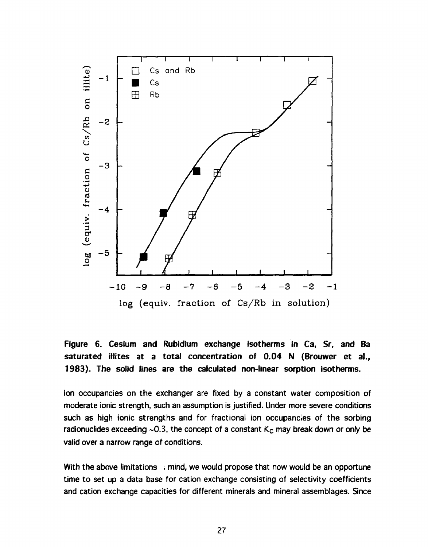

**Figure 6. Cesium and Rubidium exchange isotherms in Ca, Sr, and Ba saturated illites at a total concentration of 0.04 N (Brouwer et al.<sup>f</sup> 1983). The solid lines are the calculated non-linear sorption isotherms.** 

ion occupancies on the exchanger are fixed by a constant water composition of moderate ionic strength, such an assumption is justified. Under more severe conditions such as high ionic strengths and for fractional ion occupancies of the sorbing radionuclides exceeding  $\sim$  0.3, the concept of a constant K<sub>c</sub> may break down or only be valid over a narrow range of conditions.

With the above limitations ; mind, we would propose that now would be an opportune time to set up a data base for cation exchange consisting of selectivity coefficients and cation exchange capacities for different minerals and mineral assemblages. Since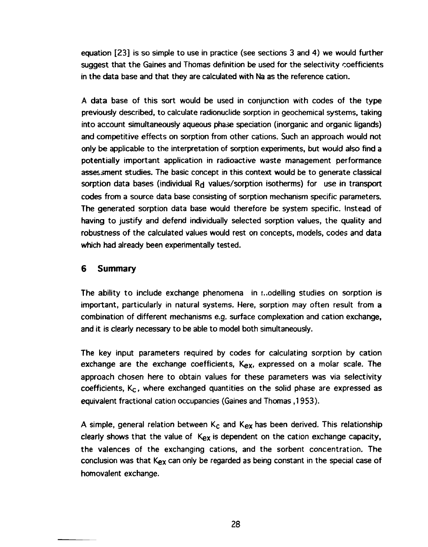equation [23] is so simple to use in practice (see sections 3 and 4) we would further suggest that the Gaines and Thomas definition be used for the selectivity coefficients in the data base and that they are calculated with Na as the reference cation.

A data base of this sort would be used in conjunction with codes of the type previously described, to calculate radionuclide sorption in geochemical systems, taking into account simultaneously aqueous phase speciation (inorganic and organic ligands) and competitive effects on sorption from other cations. Such an approach would not only be applicable to the interpretation of sorption experiments, but would also find a potentially important application in radioactive waste management performance assessment studies. The basic concept in this context would be to generate classical sorption data bases (individual R<sub>d</sub> values/sorption isotherms) for use in transport codes from a source data base consisting of sorption mechanism specific parameters. The generated sorption data base would therefore be system specific. Instead of having to justify and defend individually selected sorption values, the quality and robustness of the calculated values would rest on concepts, models, codes and data which had already been experimentally tested.

#### **6 Summary**

The ability to include exchange phenomena in t..odelling studies on sorption is important, particularly in natural systems. Here, sorption may often result from a combination of different mechanisms e.g. surface complexation and cation exchange, and it is clearly necessary to be able to model both simultaneously.

The key input parameters required by codes for calculating sorption by cation exchange are the exchange coefficients,  $K_{ex}$ , expressed on a molar scale. The approach chosen here to obtain values for these parameters was via selectivity coefficients,  $K_c$ , where exchanged quantities on the solid phase are expressed as equivalent fractional cation occupancies (Gaines and Thomas ,1953).

A simple, general relation between  $K_c$  and  $K_{ex}$  has been derived. This relationship clearly shows that the value of Kex is dependent on the cation exchange capacity, the valences of the exchanging cations, and the sorbent concentration. The conclusion was that Kex can only be regarded as being constant in the special case of homovalent exchange.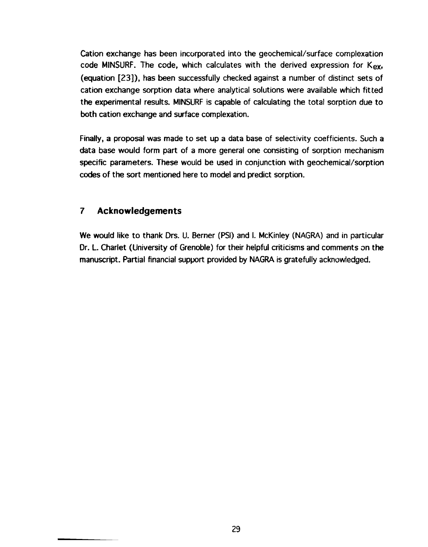Cation exchange has been incorporated into the geochemical/surface complexation code MINSURF. The code, which calculates with the derived expression for  $K_{ex}$ , (equation [23]), has been successfully checked against a number of distinct sets of cation exchange sorption data where analytical solutions were available which fitted the experimental results. MINSURF is capable of calculating the total sorption due to both cation exchange and surface complexation.

Finally, a proposal was made to set up a data base of selectivity coefficients. Such a data base would form part of a more general one consisting of sorption mechanism specific parameters. These would be used in conjunction with geochemicai/sorption codes of the sort mentioned here to model and predict sorption.

## 7 **Acknowledgements**

We would like to thank Drs. U. Berner (PSI) and I. McKinley (NAGRA) and in particular Dr. L. Charlet (University of Grenoble) for their helpful criticisms and comments on the manuscript. Partial financial support provided by NAGRA is gratefully acknowledged.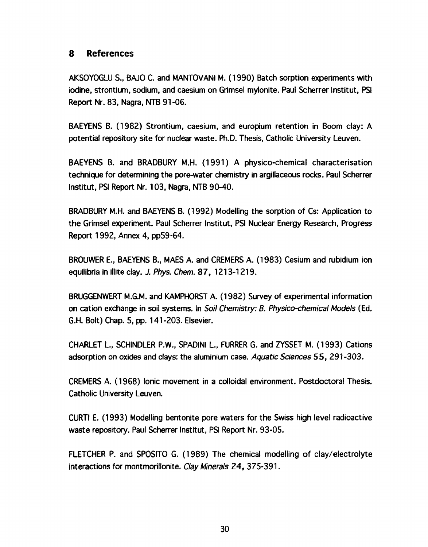### **8 References**

AKSOYOGLU S., BAJO C. and MANTOVANI M. (1990) Batch sorption experiments with iodine, strontium, sodium, and caesium on Grimsel mylonite. Paul Scherrer Institut, PSI Report Nr. 83, Nagra, NTB 91-06.

BAEYENS B. (1982) Strontium, caesium, and europium retention in Boom clay: A potential repository site for nuclear waste. Ph.D. Thesis, Catholic University Leuven.

BAEYENS B. and BRADBURY M.H. (1991) A physico-chemical characterisation technique for determining the pore-water chemistry in argillaceous rocks. Paul Scherrer Institut, PSI Report Nr. 103, Nagra, NTB 90-40.

BRADBURY M.H. and BAEYENS B. (1992) Modelling the sorption of Cs: Application to the Grimsel experiment. Paul Scherrer Institut, PSI Nuclear Energy Research, Progress Report 1992, Annex 4, pp59-64.

BROUWER E., BAEYENS B., MAES A. and CREMERS A. (1983) Cesium and rubidium ion equilibria in illite clay. J. Phys. Chem. 87, 1213-1219.

BRUGGENWERT M.G.M. and KAMPHORST A. (1982) Survey of experimental information on cation exchange in soil systems. In Soil Chemistry: B. Physico-chemical Models (Ed. G.H. Bolt) Chap. 5, pp. 141-203. Elsevier.

CHARLET L, SCHINDLER P.W., SPADINI L, FURRER G. and ZYSSET M. (1993) Cations adsorption on oxides and clays: the aluminium case. Aquatic Sciences 55, 291-303.

CREMERS A. (1968) Ionic movement in a colloidal environment. Postdoctoral Thesis. Catholic University Leuven.

CURTI E. (1993) Modelling bentonite pore waters for the Swiss high level radioactive waste repository. Paul Scherrer Institut, PSI Report Nr. 93-05.

FLETCHER P. and SPOSITO G. (1989) The chemical modelling of clay/electrolyte interactions for montmorillonite. Clay Minerals 24, 375-391.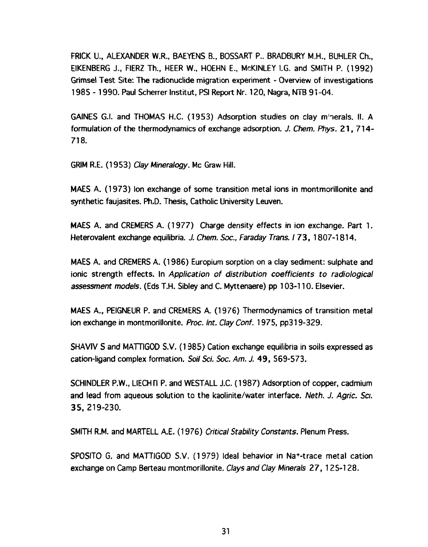FRICK U., ALEXANDER W.R., BAEYENS B., BOSSART P.. BRADBURY M.H., BUHLER Ch., EIKENBERG J., FIERZ Th., HEER W., HOEHN E., McKINLEY I.G. and SMITH P. (1992) Grimsel Test Site: The radionuclide migration experiment - Overview of investigations 1985 -1990. Paul Scherrer Institut, PSI Report Nr. 120, Nagra, NTB 91-04.

GAINES G.I. and THOMAS H.C. (1953) Adsorption studies on clay minerals. II. A formulation of the thermodynamics of exchange adsorption. J. Chem. Phys. 21,714- 718.

GRIM R.E. (1953) Clay Mineralogy. Mc Graw Hill.

MAES A. (1973) Ion exchange of some transition metal ions in montmorillonite and synthetic faujasites. Ph.D. Thesis, Catholic University Leuven.

MAES A. and CREMERS A. (1977) Charge density effects in ion exchange. Part 1. Heterovalent exchange equilibria. J. Chem. Soc., Faraday Trans. 173, 1807-1814.

MAES A. and CREMERS A. (1986) Europium sorption on a clay sediment: sulphate and ionic strength effects. In Application of distribution coefficients to radiological assessment models. (Eds T.H. Sibley and C. Myttenaere) pp 103-110. Elsevier.

MAES A., PEIGNEUR P. and CREMERS A. (1976) Thermodynamics of transition metal ion exchange in montmorillonite. Proc. Int. ClayConf. 1975, pp319-329.

SHAVIV S and MATTIGOD S.V. (1985) Cation exchange equilibria in soils expressed as cation-ligand complex formation. Soil Sei. Soc. Am. J. 49, 569-573.

SCHINDLER P.W., LIECHTI P. and WESTALL J.C. (1987) Adsorption of copper, cadmium and lead from aqueous solution to the kaolinite/water interface. Neth. J. Agric. Sei. 35,219-230.

SMITH R.M. and MARTELL A.E. (1976) Critical Stability Constants. Plenum Press.

SPOSITO G. and MATTIGOD S.V. (1979) Ideal behavior in Na<sup>+</sup>-trace metal cation exchange on Camp Berteau montmorillonite. Clays and Clay Minerals 27, 125-128.